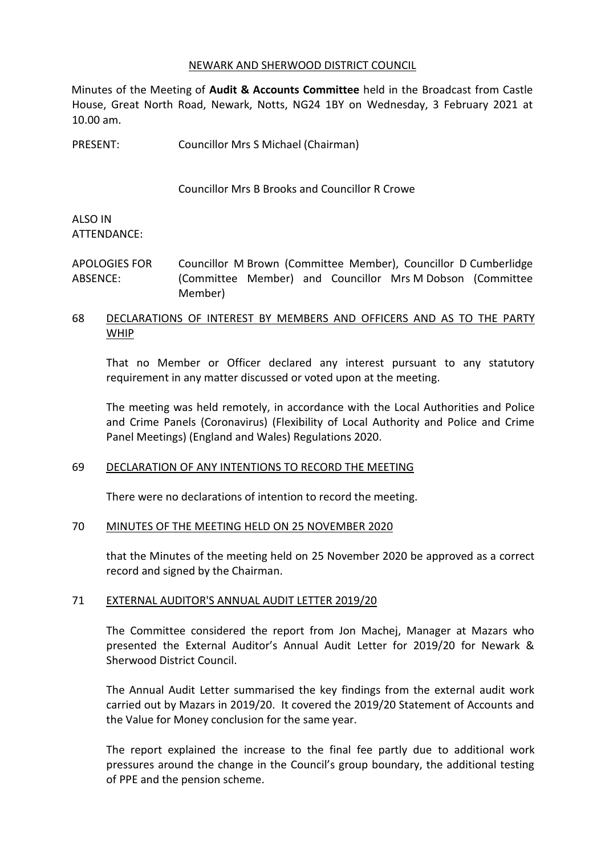#### NEWARK AND SHERWOOD DISTRICT COUNCIL

Minutes of the Meeting of **Audit & Accounts Committee** held in the Broadcast from Castle House, Great North Road, Newark, Notts, NG24 1BY on Wednesday, 3 February 2021 at 10.00 am.

PRESENT: Councillor Mrs S Michael (Chairman)

Councillor Mrs B Brooks and Councillor R Crowe

# ALSO IN ATTENDANCE:

APOLOGIES FOR ABSENCE: Councillor M Brown (Committee Member), Councillor D Cumberlidge (Committee Member) and Councillor Mrs M Dobson (Committee Member)

# 68 DECLARATIONS OF INTEREST BY MEMBERS AND OFFICERS AND AS TO THE PARTY WHIP

That no Member or Officer declared any interest pursuant to any statutory requirement in any matter discussed or voted upon at the meeting.

The meeting was held remotely, in accordance with the Local Authorities and Police and Crime Panels (Coronavirus) (Flexibility of Local Authority and Police and Crime Panel Meetings) (England and Wales) Regulations 2020.

### 69 DECLARATION OF ANY INTENTIONS TO RECORD THE MEETING

There were no declarations of intention to record the meeting.

### 70 MINUTES OF THE MEETING HELD ON 25 NOVEMBER 2020

that the Minutes of the meeting held on 25 November 2020 be approved as a correct record and signed by the Chairman.

### 71 EXTERNAL AUDITOR'S ANNUAL AUDIT LETTER 2019/20

The Committee considered the report from Jon Machej, Manager at Mazars who presented the External Auditor's Annual Audit Letter for 2019/20 for Newark & Sherwood District Council.

The Annual Audit Letter summarised the key findings from the external audit work carried out by Mazars in 2019/20. It covered the 2019/20 Statement of Accounts and the Value for Money conclusion for the same year.

The report explained the increase to the final fee partly due to additional work pressures around the change in the Council's group boundary, the additional testing of PPE and the pension scheme.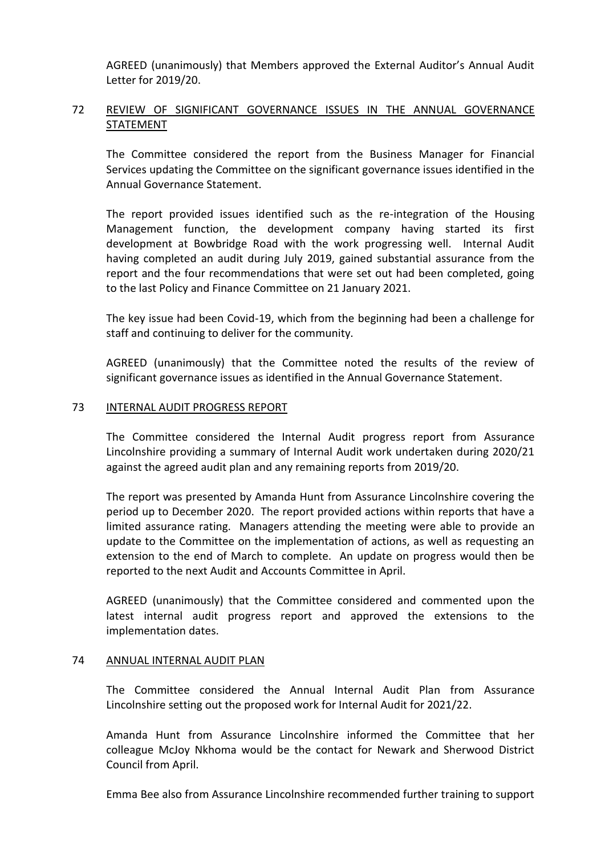AGREED (unanimously) that Members approved the External Auditor's Annual Audit Letter for 2019/20.

# 72 REVIEW OF SIGNIFICANT GOVERNANCE ISSUES IN THE ANNUAL GOVERNANCE STATEMENT

The Committee considered the report from the Business Manager for Financial Services updating the Committee on the significant governance issues identified in the Annual Governance Statement.

The report provided issues identified such as the re-integration of the Housing Management function, the development company having started its first development at Bowbridge Road with the work progressing well. Internal Audit having completed an audit during July 2019, gained substantial assurance from the report and the four recommendations that were set out had been completed, going to the last Policy and Finance Committee on 21 January 2021.

The key issue had been Covid-19, which from the beginning had been a challenge for staff and continuing to deliver for the community.

AGREED (unanimously) that the Committee noted the results of the review of significant governance issues as identified in the Annual Governance Statement.

#### 73 INTERNAL AUDIT PROGRESS REPORT

The Committee considered the Internal Audit progress report from Assurance Lincolnshire providing a summary of Internal Audit work undertaken during 2020/21 against the agreed audit plan and any remaining reports from 2019/20.

The report was presented by Amanda Hunt from Assurance Lincolnshire covering the period up to December 2020. The report provided actions within reports that have a limited assurance rating. Managers attending the meeting were able to provide an update to the Committee on the implementation of actions, as well as requesting an extension to the end of March to complete. An update on progress would then be reported to the next Audit and Accounts Committee in April.

AGREED (unanimously) that the Committee considered and commented upon the latest internal audit progress report and approved the extensions to the implementation dates.

#### 74 ANNUAL INTERNAL AUDIT PLAN

The Committee considered the Annual Internal Audit Plan from Assurance Lincolnshire setting out the proposed work for Internal Audit for 2021/22.

Amanda Hunt from Assurance Lincolnshire informed the Committee that her colleague McJoy Nkhoma would be the contact for Newark and Sherwood District Council from April.

Emma Bee also from Assurance Lincolnshire recommended further training to support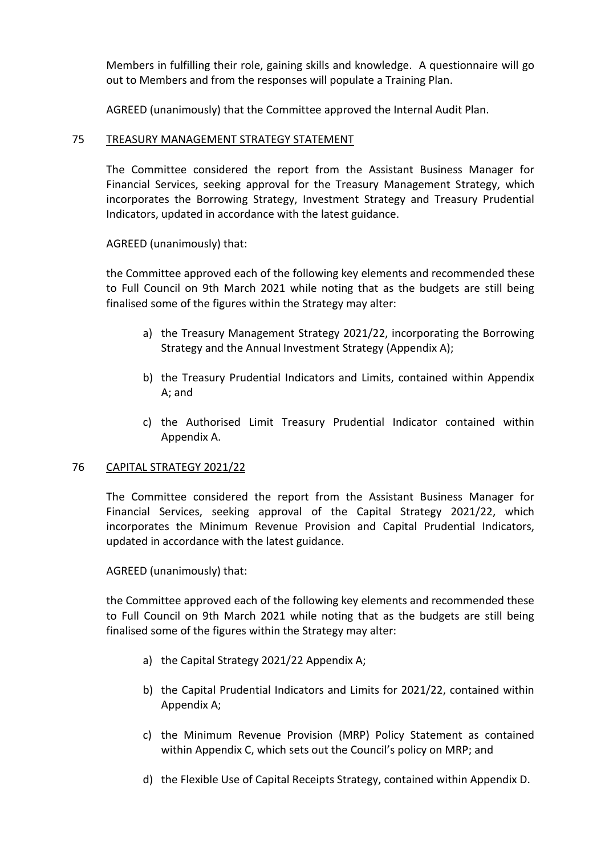Members in fulfilling their role, gaining skills and knowledge. A questionnaire will go out to Members and from the responses will populate a Training Plan.

AGREED (unanimously) that the Committee approved the Internal Audit Plan.

## 75 TREASURY MANAGEMENT STRATEGY STATEMENT

The Committee considered the report from the Assistant Business Manager for Financial Services, seeking approval for the Treasury Management Strategy, which incorporates the Borrowing Strategy, Investment Strategy and Treasury Prudential Indicators, updated in accordance with the latest guidance.

AGREED (unanimously) that:

the Committee approved each of the following key elements and recommended these to Full Council on 9th March 2021 while noting that as the budgets are still being finalised some of the figures within the Strategy may alter:

- a) the Treasury Management Strategy 2021/22, incorporating the Borrowing Strategy and the Annual Investment Strategy (Appendix A);
- b) the Treasury Prudential Indicators and Limits, contained within Appendix A; and
- c) the Authorised Limit Treasury Prudential Indicator contained within Appendix A.

# 76 CAPITAL STRATEGY 2021/22

The Committee considered the report from the Assistant Business Manager for Financial Services, seeking approval of the Capital Strategy 2021/22, which incorporates the Minimum Revenue Provision and Capital Prudential Indicators, updated in accordance with the latest guidance.

AGREED (unanimously) that:

the Committee approved each of the following key elements and recommended these to Full Council on 9th March 2021 while noting that as the budgets are still being finalised some of the figures within the Strategy may alter:

- a) the Capital Strategy 2021/22 Appendix A;
- b) the Capital Prudential Indicators and Limits for 2021/22, contained within Appendix A;
- c) the Minimum Revenue Provision (MRP) Policy Statement as contained within Appendix C, which sets out the Council's policy on MRP; and
- d) the Flexible Use of Capital Receipts Strategy, contained within Appendix D.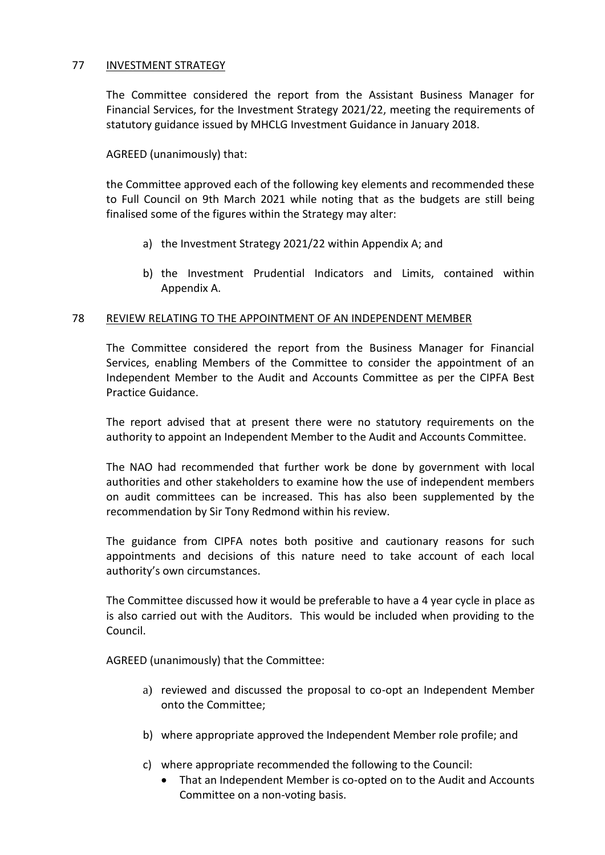# 77 INVESTMENT STRATEGY

The Committee considered the report from the Assistant Business Manager for Financial Services, for the Investment Strategy 2021/22, meeting the requirements of statutory guidance issued by MHCLG Investment Guidance in January 2018.

# AGREED (unanimously) that:

the Committee approved each of the following key elements and recommended these to Full Council on 9th March 2021 while noting that as the budgets are still being finalised some of the figures within the Strategy may alter:

- a) the Investment Strategy 2021/22 within Appendix A; and
- b) the Investment Prudential Indicators and Limits, contained within Appendix A.

# 78 REVIEW RELATING TO THE APPOINTMENT OF AN INDEPENDENT MEMBER

The Committee considered the report from the Business Manager for Financial Services, enabling Members of the Committee to consider the appointment of an Independent Member to the Audit and Accounts Committee as per the CIPFA Best Practice Guidance.

The report advised that at present there were no statutory requirements on the authority to appoint an Independent Member to the Audit and Accounts Committee.

The NAO had recommended that further work be done by government with local authorities and other stakeholders to examine how the use of independent members on audit committees can be increased. This has also been supplemented by the recommendation by Sir Tony Redmond within his review.

The guidance from CIPFA notes both positive and cautionary reasons for such appointments and decisions of this nature need to take account of each local authority's own circumstances.

The Committee discussed how it would be preferable to have a 4 year cycle in place as is also carried out with the Auditors. This would be included when providing to the Council.

AGREED (unanimously) that the Committee:

- a) reviewed and discussed the proposal to co-opt an Independent Member onto the Committee;
- b) where appropriate approved the Independent Member role profile; and
- c) where appropriate recommended the following to the Council:
	- That an Independent Member is co-opted on to the Audit and Accounts Committee on a non-voting basis.